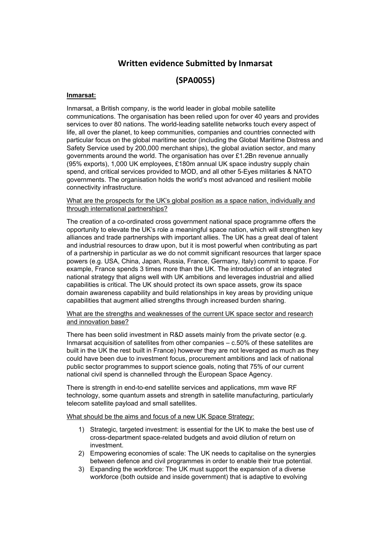## **Written evidence Submitted by Inmarsat**

## **(SPA0055)**

## **Inmarsat:**

Inmarsat, a British company, is the world leader in global mobile satellite communications. The organisation has been relied upon for over 40 years and provides services to over 80 nations. The world-leading satellite networks touch every aspect of life, all over the planet, to keep communities, companies and countries connected with particular focus on the global maritime sector (including the Global Maritime Distress and Safety Service used by 200,000 merchant ships), the global aviation sector, and many governments around the world. The organisation has over £1.2Bn revenue annually (95% exports), 1,000 UK employees, £180m annual UK space industry supply chain spend, and critical services provided to MOD, and all other 5-Eyes militaries & NATO governments. The organisation holds the world's most advanced and resilient mobile connectivity infrastructure.

What are the prospects for the UK's global position as a space nation, individually and through international partnerships?

The creation of a co-ordinated cross government national space programme offers the opportunity to elevate the UK's role a meaningful space nation, which will strengthen key alliances and trade partnerships with important allies. The UK has a great deal of talent and industrial resources to draw upon, but it is most powerful when contributing as part of a partnership in particular as we do not commit significant resources that larger space powers (e.g. USA, China, Japan, Russia, France, Germany, Italy) commit to space. For example, France spends 3 times more than the UK. The introduction of an integrated national strategy that aligns well with UK ambitions and leverages industrial and allied capabilities is critical. The UK should protect its own space assets, grow its space domain awareness capability and build relationships in key areas by providing unique capabilities that augment allied strengths through increased burden sharing.

## What are the strengths and weaknesses of the current UK space sector and research and innovation base?

There has been solid investment in R&D assets mainly from the private sector (e.g. Inmarsat acquisition of satellites from other companies  $- c.50\%$  of these satellites are built in the UK the rest built in France) however they are not leveraged as much as they could have been due to investment focus, procurement ambitions and lack of national public sector programmes to support science goals, noting that 75% of our current national civil spend is channelled through the European Space Agency.

There is strength in end-to-end satellite services and applications, mm wave RF technology, some quantum assets and strength in satellite manufacturing, particularly telecom satellite payload and small satellites.

What should be the aims and focus of a new UK Space Strategy:

- 1) Strategic, targeted investment: is essential for the UK to make the best use of cross-department space-related budgets and avoid dilution of return on investment.
- 2) Empowering economies of scale: The UK needs to capitalise on the synergies between defence and civil programmes in order to enable their true potential.
- 3) Expanding the workforce: The UK must support the expansion of a diverse workforce (both outside and inside government) that is adaptive to evolving